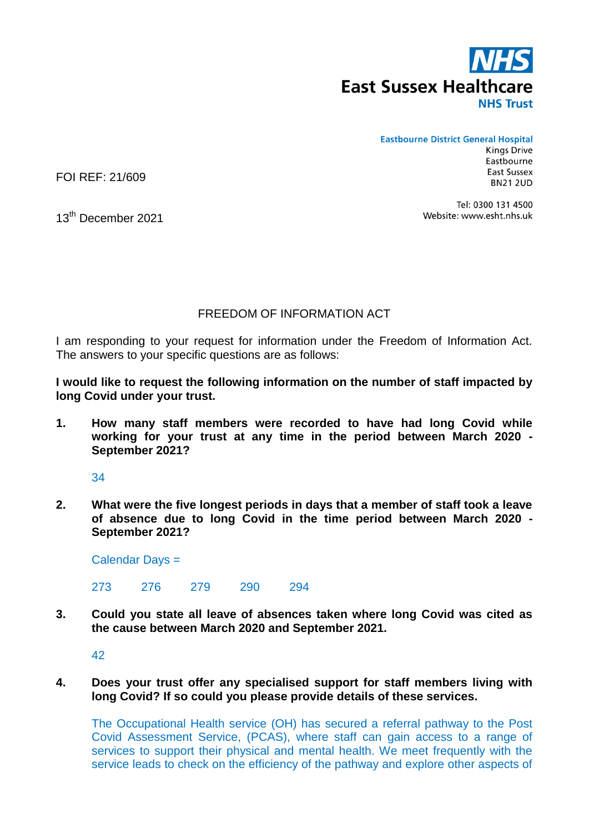

## **Eastbourne District General Hospital**

**Kings Drive** Eastbourne East Sussex **BN21 2UD** 

FOI REF: 21/609

Tel: 0300 131 4500 Website: www.esht.nhs.uk

13<sup>th</sup> December 2021

## FREEDOM OF INFORMATION ACT

I am responding to your request for information under the Freedom of Information Act. The answers to your specific questions are as follows:

**I would like to request the following information on the number of staff impacted by long Covid under your trust.**

**1. How many staff members were recorded to have had long Covid while working for your trust at any time in the period between March 2020 - September 2021?**

34

**2. What were the five longest periods in days that a member of staff took a leave of absence due to long Covid in the time period between March 2020 - September 2021?**

Calendar Days =

273 276 279 290 294

**3. Could you state all leave of absences taken where long Covid was cited as the cause between March 2020 and September 2021.**

42

## **4. Does your trust offer any specialised support for staff members living with long Covid? If so could you please provide details of these services.**

The Occupational Health service (OH) has secured a referral pathway to the Post Covid Assessment Service, (PCAS), where staff can gain access to a range of services to support their physical and mental health. We meet frequently with the service leads to check on the efficiency of the pathway and explore other aspects of